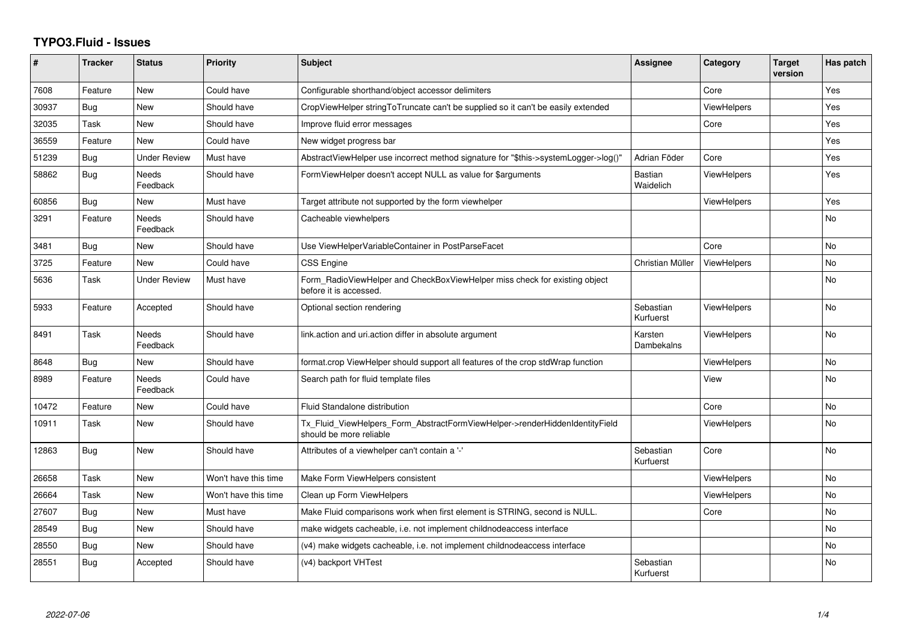## **TYPO3.Fluid - Issues**

| #     | <b>Tracker</b> | <b>Status</b>            | <b>Priority</b>      | <b>Subject</b>                                                                                         | Assignee                    | Category           | <b>Target</b><br>version | Has patch      |
|-------|----------------|--------------------------|----------------------|--------------------------------------------------------------------------------------------------------|-----------------------------|--------------------|--------------------------|----------------|
| 7608  | Feature        | <b>New</b>               | Could have           | Configurable shorthand/object accessor delimiters                                                      |                             | Core               |                          | <b>Yes</b>     |
| 30937 | <b>Bug</b>     | <b>New</b>               | Should have          | CropViewHelper stringToTruncate can't be supplied so it can't be easily extended                       |                             | ViewHelpers        |                          | Yes            |
| 32035 | Task           | New                      | Should have          | Improve fluid error messages                                                                           |                             | Core               |                          | Yes            |
| 36559 | Feature        | <b>New</b>               | Could have           | New widget progress bar                                                                                |                             |                    |                          | Yes            |
| 51239 | Bug            | Under Review             | Must have            | AbstractViewHelper use incorrect method signature for "\$this->systemLogger->log()"                    | Adrian Föder                | Core               |                          | Yes            |
| 58862 | Bug            | <b>Needs</b><br>Feedback | Should have          | FormViewHelper doesn't accept NULL as value for \$arguments                                            | <b>Bastian</b><br>Waidelich | <b>ViewHelpers</b> |                          | Yes            |
| 60856 | Bug            | New                      | Must have            | Target attribute not supported by the form viewhelper                                                  |                             | <b>ViewHelpers</b> |                          | Yes            |
| 3291  | Feature        | Needs<br>Feedback        | Should have          | Cacheable viewhelpers                                                                                  |                             |                    |                          | No.            |
| 3481  | Bug            | New                      | Should have          | Use ViewHelperVariableContainer in PostParseFacet                                                      |                             | Core               |                          | <b>No</b>      |
| 3725  | Feature        | <b>New</b>               | Could have           | <b>CSS Engine</b>                                                                                      | Christian Müller            | <b>ViewHelpers</b> |                          | <b>No</b>      |
| 5636  | Task           | <b>Under Review</b>      | Must have            | Form_RadioViewHelper and CheckBoxViewHelper miss check for existing object<br>before it is accessed.   |                             |                    |                          | <b>No</b>      |
| 5933  | Feature        | Accepted                 | Should have          | Optional section rendering                                                                             | Sebastian<br>Kurfuerst      | <b>ViewHelpers</b> |                          | <b>No</b>      |
| 8491  | Task           | Needs<br>Feedback        | Should have          | link.action and uri.action differ in absolute argument                                                 | Karsten<br>Dambekalns       | <b>ViewHelpers</b> |                          | No.            |
| 8648  | <b>Bug</b>     | New                      | Should have          | format.crop ViewHelper should support all features of the crop stdWrap function                        |                             | <b>ViewHelpers</b> |                          | No             |
| 8989  | Feature        | Needs<br>Feedback        | Could have           | Search path for fluid template files                                                                   |                             | View               |                          | N <sub>o</sub> |
| 10472 | Feature        | New                      | Could have           | <b>Fluid Standalone distribution</b>                                                                   |                             | Core               |                          | <b>No</b>      |
| 10911 | Task           | New                      | Should have          | Tx_Fluid_ViewHelpers_Form_AbstractFormViewHelper->renderHiddenIdentityField<br>should be more reliable |                             | <b>ViewHelpers</b> |                          | <b>No</b>      |
| 12863 | Bug            | <b>New</b>               | Should have          | Attributes of a viewhelper can't contain a '-'                                                         | Sebastian<br>Kurfuerst      | Core               |                          | No             |
| 26658 | Task           | New                      | Won't have this time | Make Form ViewHelpers consistent                                                                       |                             | <b>ViewHelpers</b> |                          | No             |
| 26664 | Task           | New                      | Won't have this time | Clean up Form ViewHelpers                                                                              |                             | <b>ViewHelpers</b> |                          | <b>No</b>      |
| 27607 | <b>Bug</b>     | New                      | Must have            | Make Fluid comparisons work when first element is STRING, second is NULL.                              |                             | Core               |                          | No             |
| 28549 | Bug            | New                      | Should have          | make widgets cacheable, i.e. not implement childnodeaccess interface                                   |                             |                    |                          | <b>No</b>      |
| 28550 | Bug            | <b>New</b>               | Should have          | (v4) make widgets cacheable, i.e. not implement childnodeaccess interface                              |                             |                    |                          | <b>No</b>      |
| 28551 | Bug            | Accepted                 | Should have          | (v4) backport VHTest                                                                                   | Sebastian<br>Kurfuerst      |                    |                          | No.            |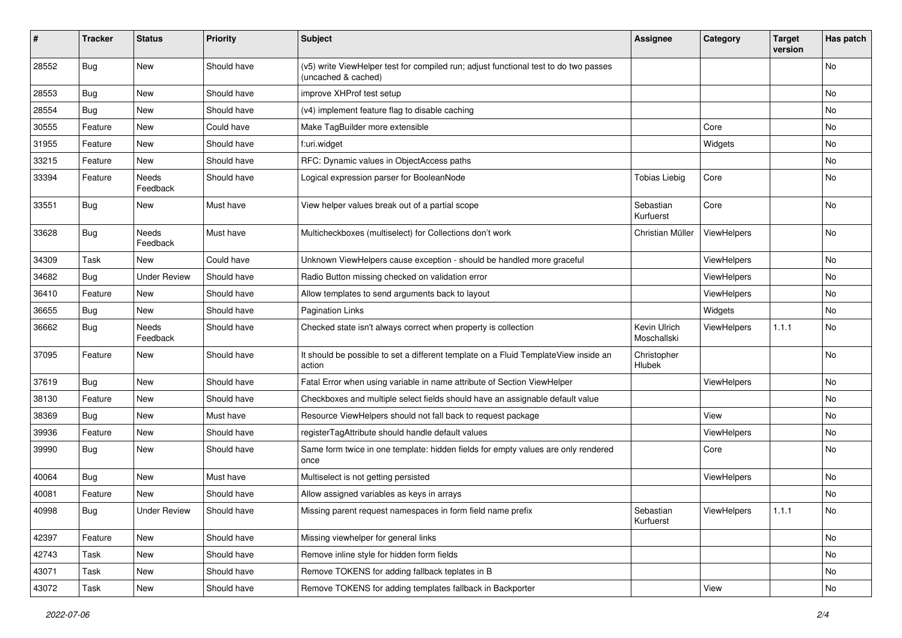| #     | <b>Tracker</b> | <b>Status</b>       | <b>Priority</b> | Subject                                                                                                     | <b>Assignee</b>             | Category    | <b>Target</b><br>version | Has patch |
|-------|----------------|---------------------|-----------------|-------------------------------------------------------------------------------------------------------------|-----------------------------|-------------|--------------------------|-----------|
| 28552 | Bug            | New                 | Should have     | (v5) write ViewHelper test for compiled run; adjust functional test to do two passes<br>(uncached & cached) |                             |             |                          | No        |
| 28553 | Bug            | New                 | Should have     | improve XHProf test setup                                                                                   |                             |             |                          | No        |
| 28554 | Bug            | New                 | Should have     | (v4) implement feature flag to disable caching                                                              |                             |             |                          | No        |
| 30555 | Feature        | New                 | Could have      | Make TagBuilder more extensible                                                                             |                             | Core        |                          | No        |
| 31955 | Feature        | New                 | Should have     | f:uri.widget                                                                                                |                             | Widgets     |                          | No        |
| 33215 | Feature        | New                 | Should have     | RFC: Dynamic values in ObjectAccess paths                                                                   |                             |             |                          | No        |
| 33394 | Feature        | Needs<br>Feedback   | Should have     | Logical expression parser for BooleanNode                                                                   | <b>Tobias Liebig</b>        | Core        |                          | No        |
| 33551 | Bug            | New                 | Must have       | View helper values break out of a partial scope                                                             | Sebastian<br>Kurfuerst      | Core        |                          | No        |
| 33628 | Bug            | Needs<br>Feedback   | Must have       | Multicheckboxes (multiselect) for Collections don't work                                                    | Christian Müller            | ViewHelpers |                          | No        |
| 34309 | Task           | New                 | Could have      | Unknown ViewHelpers cause exception - should be handled more graceful                                       |                             | ViewHelpers |                          | No        |
| 34682 | Bug            | <b>Under Review</b> | Should have     | Radio Button missing checked on validation error                                                            |                             | ViewHelpers |                          | No        |
| 36410 | Feature        | New                 | Should have     | Allow templates to send arguments back to layout                                                            |                             | ViewHelpers |                          | No        |
| 36655 | <b>Bug</b>     | New                 | Should have     | <b>Pagination Links</b>                                                                                     |                             | Widgets     |                          | No        |
| 36662 | Bug            | Needs<br>Feedback   | Should have     | Checked state isn't always correct when property is collection                                              | Kevin Ulrich<br>Moschallski | ViewHelpers | 1.1.1                    | No        |
| 37095 | Feature        | New                 | Should have     | It should be possible to set a different template on a Fluid TemplateView inside an<br>action               | Christopher<br>Hlubek       |             |                          | No        |
| 37619 | Bug            | New                 | Should have     | Fatal Error when using variable in name attribute of Section ViewHelper                                     |                             | ViewHelpers |                          | No        |
| 38130 | Feature        | New                 | Should have     | Checkboxes and multiple select fields should have an assignable default value                               |                             |             |                          | No        |
| 38369 | Bug            | New                 | Must have       | Resource ViewHelpers should not fall back to request package                                                |                             | View        |                          | No        |
| 39936 | Feature        | New                 | Should have     | registerTagAttribute should handle default values                                                           |                             | ViewHelpers |                          | No        |
| 39990 | Bug            | New                 | Should have     | Same form twice in one template: hidden fields for empty values are only rendered<br>once                   |                             | Core        |                          | No        |
| 40064 | Bug            | New                 | Must have       | Multiselect is not getting persisted                                                                        |                             | ViewHelpers |                          | No        |
| 40081 | Feature        | New                 | Should have     | Allow assigned variables as keys in arrays                                                                  |                             |             |                          | No        |
| 40998 | <b>Bug</b>     | <b>Under Review</b> | Should have     | Missing parent request namespaces in form field name prefix                                                 | Sebastian<br>Kurfuerst      | ViewHelpers | 1.1.1                    | No        |
| 42397 | Feature        | New                 | Should have     | Missing viewhelper for general links                                                                        |                             |             |                          | No        |
| 42743 | Task           | New                 | Should have     | Remove inline style for hidden form fields                                                                  |                             |             |                          | No        |
| 43071 | Task           | New                 | Should have     | Remove TOKENS for adding fallback teplates in B                                                             |                             |             |                          | No        |
| 43072 | Task           | New                 | Should have     | Remove TOKENS for adding templates fallback in Backporter                                                   |                             | View        |                          | No        |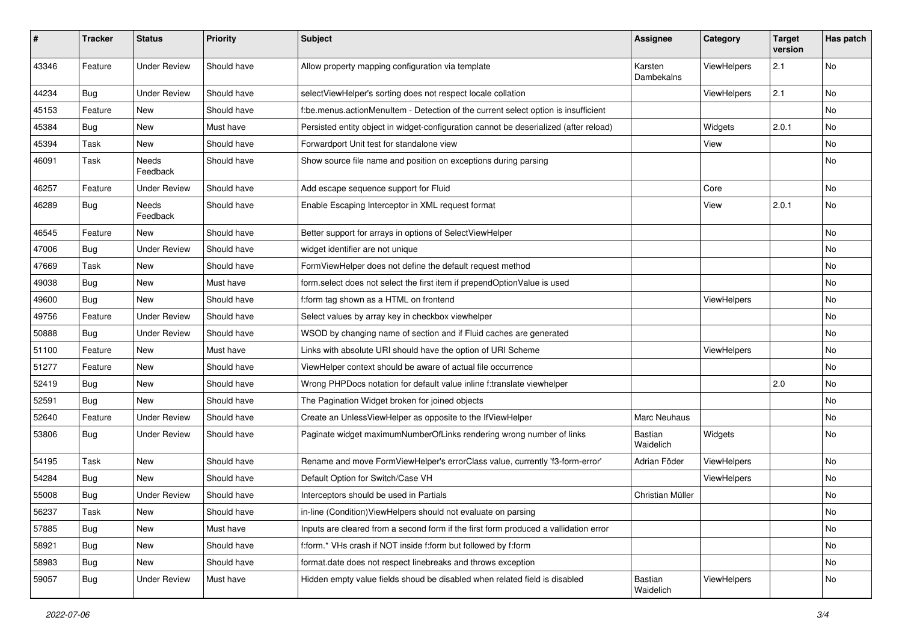| ∦     | <b>Tracker</b> | <b>Status</b>       | <b>Priority</b> | <b>Subject</b>                                                                        | <b>Assignee</b>       | Category    | <b>Target</b><br>version | Has patch |
|-------|----------------|---------------------|-----------------|---------------------------------------------------------------------------------------|-----------------------|-------------|--------------------------|-----------|
| 43346 | Feature        | <b>Under Review</b> | Should have     | Allow property mapping configuration via template                                     | Karsten<br>Dambekalns | ViewHelpers | 2.1                      | No        |
| 44234 | <b>Bug</b>     | <b>Under Review</b> | Should have     | selectViewHelper's sorting does not respect locale collation                          |                       | ViewHelpers | 2.1                      | No.       |
| 45153 | Feature        | New                 | Should have     | f:be.menus.actionMenuItem - Detection of the current select option is insufficient    |                       |             |                          | No        |
| 45384 | Bug            | New                 | Must have       | Persisted entity object in widget-configuration cannot be deserialized (after reload) |                       | Widgets     | 2.0.1                    | No        |
| 45394 | Task           | New                 | Should have     | Forwardport Unit test for standalone view                                             |                       | View        |                          | No        |
| 46091 | Task           | Needs<br>Feedback   | Should have     | Show source file name and position on exceptions during parsing                       |                       |             |                          | No        |
| 46257 | Feature        | <b>Under Review</b> | Should have     | Add escape sequence support for Fluid                                                 |                       | Core        |                          | No.       |
| 46289 | <b>Bug</b>     | Needs<br>Feedback   | Should have     | Enable Escaping Interceptor in XML request format                                     |                       | View        | 2.0.1                    | No        |
| 46545 | Feature        | New                 | Should have     | Better support for arrays in options of SelectViewHelper                              |                       |             |                          | No        |
| 47006 | Bug            | <b>Under Review</b> | Should have     | widget identifier are not unique                                                      |                       |             |                          | No        |
| 47669 | Task           | New                 | Should have     | FormViewHelper does not define the default request method                             |                       |             |                          | No        |
| 49038 | Bug            | New                 | Must have       | form.select does not select the first item if prependOptionValue is used              |                       |             |                          | No        |
| 49600 | Bug            | New                 | Should have     | f:form tag shown as a HTML on frontend                                                |                       | ViewHelpers |                          | No        |
| 49756 | Feature        | <b>Under Review</b> | Should have     | Select values by array key in checkbox viewhelper                                     |                       |             |                          | No        |
| 50888 | Bug            | <b>Under Review</b> | Should have     | WSOD by changing name of section and if Fluid caches are generated                    |                       |             |                          | No        |
| 51100 | Feature        | New                 | Must have       | Links with absolute URI should have the option of URI Scheme                          |                       | ViewHelpers |                          | No        |
| 51277 | Feature        | New                 | Should have     | ViewHelper context should be aware of actual file occurrence                          |                       |             |                          | No        |
| 52419 | <b>Bug</b>     | New                 | Should have     | Wrong PHPDocs notation for default value inline f:translate viewhelper                |                       |             | 2.0                      | No        |
| 52591 | <b>Bug</b>     | <b>New</b>          | Should have     | The Pagination Widget broken for joined objects                                       |                       |             |                          | No.       |
| 52640 | Feature        | <b>Under Review</b> | Should have     | Create an UnlessViewHelper as opposite to the IfViewHelper                            | Marc Neuhaus          |             |                          | No        |
| 53806 | <b>Bug</b>     | <b>Under Review</b> | Should have     | Paginate widget maximumNumberOfLinks rendering wrong number of links                  | Bastian<br>Waidelich  | Widgets     |                          | No        |
| 54195 | Task           | New                 | Should have     | Rename and move FormViewHelper's errorClass value, currently 'f3-form-error'          | Adrian Föder          | ViewHelpers |                          | No        |
| 54284 | Bug            | New                 | Should have     | Default Option for Switch/Case VH                                                     |                       | ViewHelpers |                          | No        |
| 55008 | Bug            | <b>Under Review</b> | Should have     | Interceptors should be used in Partials                                               | Christian Müller      |             |                          | No        |
| 56237 | Task           | New                 | Should have     | in-line (Condition) View Helpers should not evaluate on parsing                       |                       |             |                          | No.       |
| 57885 | <b>Bug</b>     | New                 | Must have       | Inputs are cleared from a second form if the first form produced a vallidation error  |                       |             |                          | No        |
| 58921 | <b>Bug</b>     | New                 | Should have     | f:form.* VHs crash if NOT inside f:form but followed by f:form                        |                       |             |                          | No        |
| 58983 | Bug            | New                 | Should have     | format.date does not respect linebreaks and throws exception                          |                       |             |                          | No        |
| 59057 | <b>Bug</b>     | <b>Under Review</b> | Must have       | Hidden empty value fields shoud be disabled when related field is disabled            | Bastian<br>Waidelich  | ViewHelpers |                          | No        |